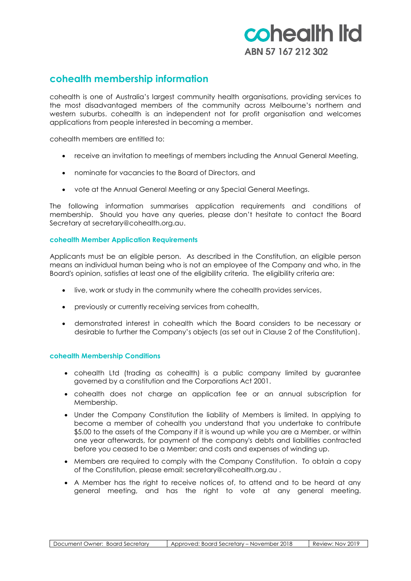# cohealth Itd ABN 57 167 212 302

## **cohealth membership information**

cohealth is one of Australia's largest community health organisations, providing services to the most disadvantaged members of the community across Melbourne's northern and western suburbs. cohealth is an independent not for profit organisation and welcomes applications from people interested in becoming a member.

cohealth members are entitled to:

- receive an invitation to meetings of members including the Annual General Meeting,
- nominate for vacancies to the Board of Directors, and
- vote at the Annual General Meeting or any Special General Meetings.

The following information summarises application requirements and conditions of membership. Should you have any queries, please don't hesitate to contact the Board Secretary at secretary@cohealth.org.au.

## **cohealth Member Application Requirements**

Applicants must be an eligible person. As described in the Constitution, an eligible person means an individual human being who is not an employee of the Company and who, in the Board's opinion, satisfies at least one of the eligibility criteria. The eligibility criteria are:

- live, work or study in the community where the cohealth provides services,
- previously or currently receiving services from cohealth,
- demonstrated interest in cohealth which the Board considers to be necessary or desirable to further the Company's objects (as set out in Clause 2 of the Constitution).

## **cohealth Membership Conditions**

- cohealth Ltd (trading as cohealth) is a public company limited by guarantee governed by a constitution and the Corporations Act 2001.
- cohealth does not charge an application fee or an annual subscription for Membership.
- Under the Company Constitution the liability of Members is limited. In applying to become a member of cohealth you understand that you undertake to contribute \$5.00 to the assets of the Company if it is wound up while you are a Member, or within one year afterwards, for payment of the company's debts and liabilities contracted before you ceased to be a Member; and costs and expenses of winding up.
- Members are required to comply with the Company Constitution. To obtain a copy of the Constitution, please email: secretary@cohealth.org.au .
- A Member has the right to receive notices of, to attend and to be heard at any general meeting, and has the right to vote at any general meeting.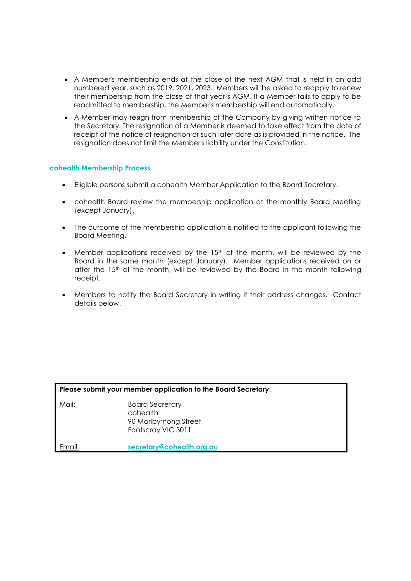- A Member's membership ends at the close of the next AGM that is held in an odd numbered year, such as 2019, 2021, 2023. Members will be asked to reapply to renew their membership from the close of that year's AGM. If a Member fails to apply to be readmitted to membership, the Member's membership will end automatically.
- A Member may resign from membership of the Company by giving written notice to the Secretary. The resignation of a Member is deemed to take effect from the date of receipt of the notice of resignation or such later date as is provided in the notice. The resignation does not limit the Member's liability under the Constitution.

## **cohealth Membership Process**

- Eligible persons submit a cohealth Member Application to the Board Secretary.
- cohealth Board review the membership application at the monthly Board Meeting (except January).
- The outcome of the membership application is notified to the applicant following the Board Meeting.
- Member applications received by the 15<sup>th</sup> of the month, will be reviewed by the Board in the same month (except January). Member applications received on or after the 15<sup>th</sup> of the month, will be reviewed by the Board in the month following receipt.
- Members to notify the Board Secretary in writing if their address changes. Contact details below.

| Please submit your member application to the Board Secretary. |                                                                                   |  |
|---------------------------------------------------------------|-----------------------------------------------------------------------------------|--|
| Mail:                                                         | <b>Board Secretary</b><br>cohealth<br>90 Maribyrnong Street<br>Footscray VIC 3011 |  |
| Email:                                                        | secretary@cohealth.org.au                                                         |  |